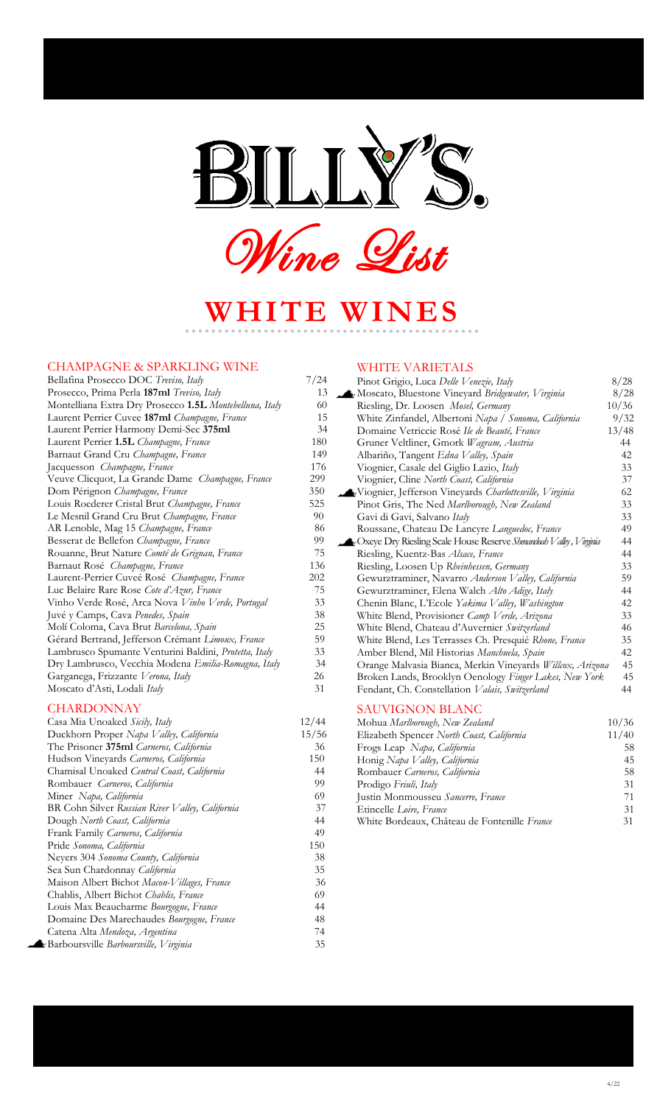

**WHITE WINES**

#### CHAMPAGNE & SPARKLING WINE

### Bellafina Prosecco DOC *Treviso*, Italy 7/24 Prosecco, Prima Perla **187ml** *Treviso, Italy* 13 Montelliana Extra Dry Prosecco **1.5L** *Montebelluna, Italy* 60 Laurent Perrier Cuvee **187ml** *Champagne, France* 15 Laurent Perrier Harmony Demi-Sec **375ml** 34 Laurent Perrier 1.5L *Champagne, France* Barnaut Grand Cru *Champagne, France* 149 Jacquesson *Champagne, France* 176 Veuve Clicquot, La Grande Dame *Champagne, France* Dom Pérignon *Champagne, France* 350 Louis Roederer Cristal Brut *Champagne, France* 525 Le Mesnil Grand Cru Brut *Champagne, France* 90 AR Lenoble, Mag 15 *Champagne, France* 86 Besserat de Bellefon *Champagne, France* 99 Rouanne, Brut Nature *Comté de Grignan, France* 75 Barnaut Rosé *Champagne, France* 136 Laurent-Perrier Cuveé Rosé *Champagne, France* 202 Luc Belaire Rare Rose Cote d'Azur, France Vinho Verde Rosé, Arca Nova *Vinho Verde, Portugal* 33 Juvé y Camps, Cava *Penedes, Spain* 38 Molí Coloma, Cava Brut *Barcelona, Spain* 25 Gérard Bertrand, Jefferson Crémant *Limoux, France* 59 Lambrusco Spumante Venturini Baldini, *Protetta, Italy* 33 Dry Lambrusco, Vecchia Modena *Emilia-Romagna, Italy* 34 Garganega, Frizzante *Verona, Italy* 26 Moscato d'Asti, Lodali *Italy* 31

#### **CHARDONNAY**

| Casa Mia Unoaked Sicily, Italy                  | 12/44 |
|-------------------------------------------------|-------|
| Duckhorn Proper Napa Valley, California         | 15/56 |
| The Prisoner 375ml Carneros, California         | 36    |
| Hudson Vineyards Carneros, California           | 150   |
| Chamisal Unoaked Central Coast, California      | 44    |
| Rombauer Carneros, California                   | 99    |
| Miner Napa, California                          | 69    |
| BR Cohn Silver Russian River Valley, California | 37    |
| Dough North Coast, California                   | 44    |
| Frank Family Carneros, California               | 49    |
| Pride Sonoma, California                        | 150   |
| Neyers 304 Sonoma County, California            | 38    |
| Sea Sun Chardonnay California                   | 35    |
| Maison Albert Bichot Macon-Villages, France     | 36    |
| Chablis, Albert Bichot Chablis, France          | 69    |
| Louis Max Beaucharme Bourgogne, France          | 44    |
| Domaine Des Marechaudes Bourgogne, France       | 48    |
| Catena Alta Mendoza, Argentina                  | 74    |
| Barboursville Barboursville, Virginia           | 35    |
|                                                 |       |

#### WHITE VARIETALS

| Pinot Grigio, Luca Delle Venezie, Italy                                               | 8/28           |
|---------------------------------------------------------------------------------------|----------------|
| V Moscato, Bluestone Vineyard Bridgewater, Virginia                                   | 8/28           |
| Riesling, Dr. Loosen Mosel, Germany                                                   | 10/36          |
| White Zinfandel, Albertoni Napa / Sonoma, California                                  | 9/32           |
| Domaine Vetriccie Rosé Ile de Beauté, France                                          | 13/48          |
| Gruner Veltliner, Gmork Wagram, Austria                                               | 44             |
| Albariño, Tangent Edna Valley, Spain                                                  | 42             |
| Viognier, Casale del Giglio Lazio, Italy                                              | 33             |
| Viognier, Cline North Coast, California                                               | 37             |
| Viognier, Jefferson Vineyards Charlottesville, Virginia                               | 62             |
| Pinot Gris, The Ned Marlborough, New Zealand                                          | 33             |
| Gavi di Gavi, Salvano Italy                                                           | 33             |
| Roussane, Chateau De Lancyre Languedoc, France                                        | 49             |
| Voxeye Dry Riesling Scale House Reserve Shenandoah Valley, Virginia                   | 44             |
| Riesling, Kuentz-Bas Alsace, France                                                   | 44             |
| Riesling, Loosen Up Rheinhessen, Germany                                              | 33             |
| Gewurztraminer, Navarro Anderson Valley, California                                   | 59             |
| Gewurztraminer, Elena Walch Alto Adige, Italy                                         | 44             |
| Chenin Blanc, L'Ecole Yakima Valley, Washington                                       | 42             |
| White Blend, Provisioner Camp Verde, Arizona                                          | 33             |
| White Blend, Chateau d'Auvernier Switzerland                                          | 46             |
| White Blend, Les Terrasses Ch. Presquié Rhone, France                                 | 35             |
| Amber Blend, Mil Historias Manchuela, Spain                                           | 42             |
| Orange Malvasia Bianca, Merkin Vineyards Willcox, Arizona                             | 45             |
| Broken Lands, Brooklyn Oenology Finger Lakes, New York                                | 45             |
| Fendant, Ch. Constellation Valais, Switzerland                                        | 44             |
| <b>SAUVIGNON BLANC</b>                                                                |                |
| Mohua Marlborough, New Zealand                                                        | 10/36          |
| $\mathbf{D}^{\mathbf{H}}$ and $\mathbf{A}^{\mathbf{T}}$ and $\mathbf{A}^{\mathbf{T}}$ | 44 <i>1</i> 40 |

| $100110a$ $1000000$ $y$ $y$ , $1000$ $2000$  | 101.50 |
|----------------------------------------------|--------|
| Elizabeth Spencer North Coast, California    | 11/40  |
| Frogs Leap Napa, California                  | 58     |
| Honig Napa Valley, California                | 45     |
| Rombauer Carneros, California                | 58     |
| Prodigo Friuli, Italy                        | 31     |
| Justin Monmousseu Sancerre, France           | 71     |
| Etincelle Loire, France                      | 31     |
| White Bordeaux, Château de Fontenille France | 31.    |
|                                              |        |